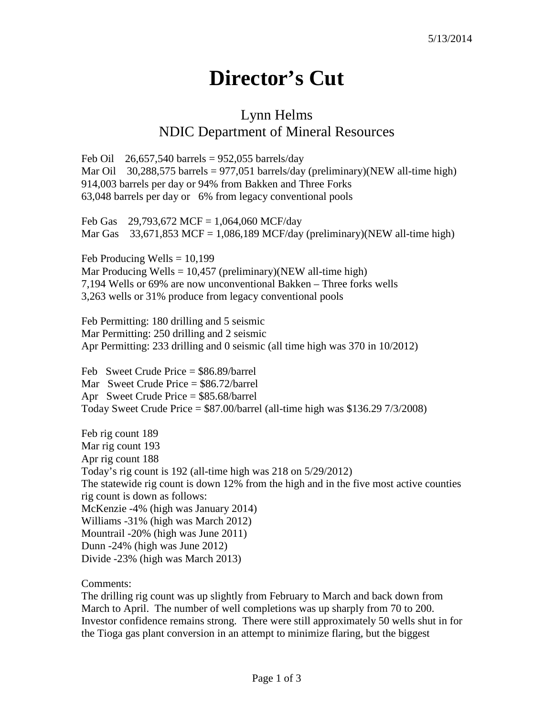## **Director's Cut**

## Lynn Helms NDIC Department of Mineral Resources

Feb Oil  $26,657,540$  barrels = 952,055 barrels/day Mar Oil 30,288,575 barrels = 977,051 barrels/day (preliminary)(NEW all-time high) 914,003 barrels per day or 94% from Bakken and Three Forks 63,048 barrels per day or 6% from legacy conventional pools

Feb Gas  $29,793,672$  MCF = 1,064,060 MCF/day Mar Gas  $33,671,853$  MCF = 1,086,189 MCF/day (preliminary)(NEW all-time high)

Feb Producing Wells  $= 10,199$ Mar Producing Wells =  $10,457$  (preliminary)(NEW all-time high) 7,194 Wells or 69% are now unconventional Bakken – Three forks wells 3,263 wells or 31% produce from legacy conventional pools

Feb Permitting: 180 drilling and 5 seismic Mar Permitting: 250 drilling and 2 seismic Apr Permitting: 233 drilling and 0 seismic (all time high was 370 in 10/2012)

Feb Sweet Crude Price = \$86.89/barrel Mar Sweet Crude Price = \$86.72/barrel Apr Sweet Crude Price = \$85.68/barrel Today Sweet Crude Price  $= $87.00/b$ arrel (all-time high was \$136.29 7/3/2008)

Feb rig count 189 Mar rig count 193 Apr rig count 188 Today's rig count is 192 (all-time high was 218 on 5/29/2012) The statewide rig count is down 12% from the high and in the five most active counties rig count is down as follows: McKenzie -4% (high was January 2014) Williams -31% (high was March 2012) Mountrail -20% (high was June 2011) Dunn -24% (high was June 2012) Divide -23% (high was March 2013)

Comments:

The drilling rig count was up slightly from February to March and back down from March to April. The number of well completions was up sharply from 70 to 200. Investor confidence remains strong. There were still approximately 50 wells shut in for the Tioga gas plant conversion in an attempt to minimize flaring, but the biggest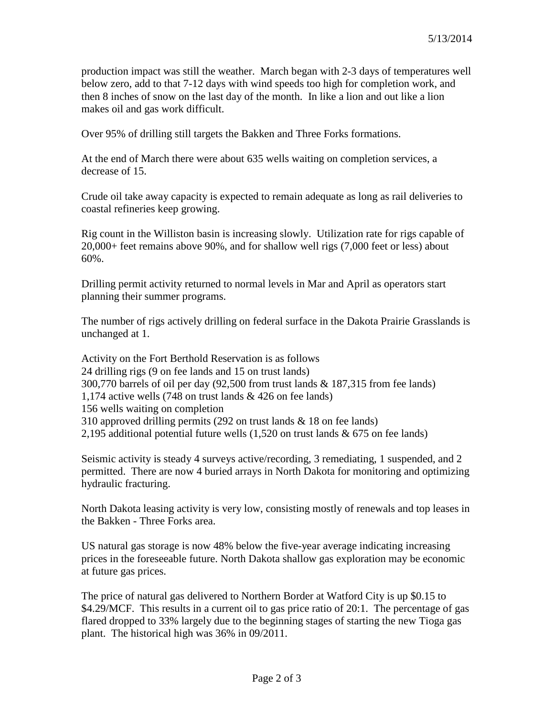production impact was still the weather. March began with 2-3 days of temperatures well below zero, add to that 7-12 days with wind speeds too high for completion work, and then 8 inches of snow on the last day of the month. In like a lion and out like a lion makes oil and gas work difficult.

Over 95% of drilling still targets the Bakken and Three Forks formations.

At the end of March there were about 635 wells waiting on completion services, a decrease of 15.

Crude oil take away capacity is expected to remain adequate as long as rail deliveries to coastal refineries keep growing.

Rig count in the Williston basin is increasing slowly. Utilization rate for rigs capable of 20,000+ feet remains above 90%, and for shallow well rigs (7,000 feet or less) about 60%.

Drilling permit activity returned to normal levels in Mar and April as operators start planning their summer programs.

The number of rigs actively drilling on federal surface in the Dakota Prairie Grasslands is unchanged at 1.

Activity on the Fort Berthold Reservation is as follows 24 drilling rigs (9 on fee lands and 15 on trust lands) 300,770 barrels of oil per day (92,500 from trust lands & 187,315 from fee lands) 1,174 active wells (748 on trust lands & 426 on fee lands) 156 wells waiting on completion 310 approved drilling permits (292 on trust lands & 18 on fee lands) 2,195 additional potential future wells (1,520 on trust lands & 675 on fee lands)

Seismic activity is steady 4 surveys active/recording, 3 remediating, 1 suspended, and 2 permitted. There are now 4 buried arrays in North Dakota for monitoring and optimizing hydraulic fracturing.

North Dakota leasing activity is very low, consisting mostly of renewals and top leases in the Bakken - Three Forks area.

US natural gas storage is now 48% below the five-year average indicating increasing prices in the foreseeable future. North Dakota shallow gas exploration may be economic at future gas prices.

The price of natural gas delivered to Northern Border at Watford City is up \$0.15 to \$4.29/MCF. This results in a current oil to gas price ratio of 20:1. The percentage of gas flared dropped to 33% largely due to the beginning stages of starting the new Tioga gas plant. The historical high was 36% in 09/2011.